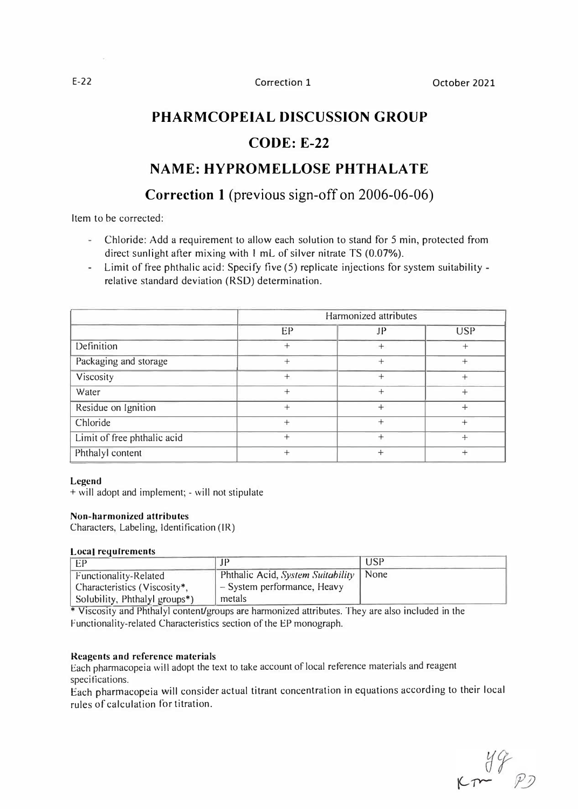# **PHARMCOPEIAL DISCUSSION GROUP**

## **CODE: E-22**

# **NAME: HYPROMELLOSE PHTHALA TE**

# **Correction 1** (previous sign-off on 2006-06-06)

Item to be corrected:

- Chloride: Add a requirement to allow each solution to stand for 5 min, protected from direct sunlight after mixing with 1 mL of silver nitrate TS (0.07%).
- Limit of free phthalic acid: Specify five (5) replicate injections for system suitability relative standard deviation (RSO) determination.

|                             | Harmonized attributes |        |            |
|-----------------------------|-----------------------|--------|------------|
|                             | EP                    | JP     | <b>USP</b> |
| Definition                  |                       |        | $^{+}$     |
| Packaging and storage       |                       | $^{+}$ | $^{+}$     |
| Viscosity                   |                       | $^{+}$ |            |
| Water                       |                       |        | $^{+}$     |
| Residue on Ignition         |                       |        | $\ddot{}$  |
| Chloride                    | $^{+}$                | $^+$   | $^{+}$     |
| Limit of free phthalic acid |                       |        | $+$        |
| Phthalyl content            |                       |        | $\pm$      |

## **Legend**

+ will adopt and implement; - will not stipulate

## **Non-harmonized attributes**

Characters, Labeling, Identification (JR)

## **Local requirements**

| EP                                                    | TP                                                                      | USP |
|-------------------------------------------------------|-------------------------------------------------------------------------|-----|
| Functionality-Related<br>Characteristics (Viscosity*, | Phthalic Acid, System Suitability   None<br>- System performance, Heavy |     |
| Solubility, Phthalyl groups*)                         | metals                                                                  |     |

\* Viscosity and Phthalyl content/groups are harmonized attributes. They are also included in the Functionality-related Characteristics section of the EP monograph.

## **Reagents and reference materials**

Each pharmacopeia will adopt the text to take account of local reference materials and reagent specifications.

Each pharrnacopeia will consider actual titrant concentration in equations according to their local rules of calculation for titration.

 $K_{T}$   $\begin{matrix} 49 \\ 72 \end{matrix}$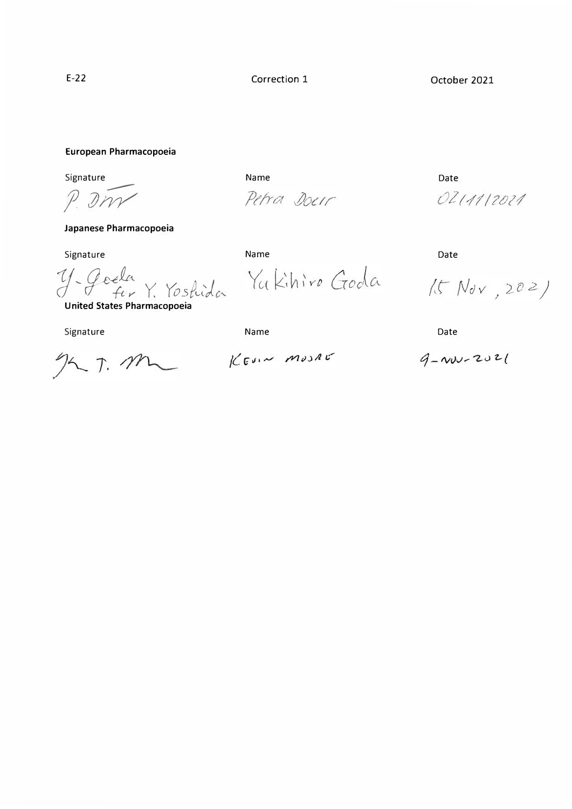Petra Docir

Correction 1 October 2021

#### **European Pharmacopoeia**

Signature

..---- *f. JIYY*

**Japanese Pharmacopoeia** 

Signature

 $y$ *, Goela* Y. Yoshida

**United States Pharmacopoeia** 

Signature

 $227.72$ 

Yukihiro Goda

Name Date Date Date

Name Date

0211112021

 $15 Nov,202)$ 

Name Date

 $K$ Evin MOSAG

 $9 - 202$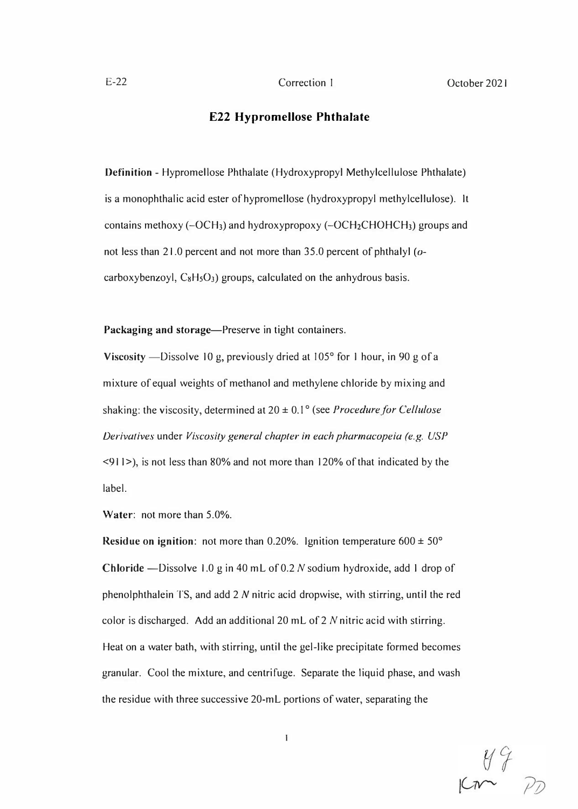## **E22 Hypromellose Phthalate**

**Definition** - Hypromellose Phthalate (Hydroxypropyl Methylcellulose Phthalate) is a monophthalic acid ester of hypromellose (hydroxypropyl methylcellulose). It contains methoxy  $(-OCH_3)$  and hydroxypropoxy  $(-OCH_2CHOHCH_3)$  groups and not less than 21.0 percent and not more than 35.0 percent of phthalyl *(o*carboxybenzoyl,  $C_8H_5O_3$ ) groups, calculated on the anhydrous basis.

Packaging and storage-Preserve in tight containers.

**Viscosity** —Dissolve 10 g, previously dried at 105° for 1 hour, in 90 g of a mixture of equal weights of methanol and methylene chloride by mixing and shaking: the viscosity, determined at 20 ± 0.1 ° (see *Procedure for Cellulose Derivatives* under *Viscosity general chapter in each pharmacopeia (e.g. USP*  <91 I>), is not less than 80% and not more than I 20% of that indicated by the label.

**Water:** not more than 5.0%.

**Residue on ignition:** not more than 0.20%. Ignition temperature 600 ± 50° **Chloride** -Dissolve 1.0 g in 40 mL of 0.2 N sodium hydroxide, add I drop of phenolphthalein TS, and add 2 *N* nitric acid dropwise, with stirring, until the red color is discharged. Add an additional 20 mL of  $2$  N nitric acid with stirring. Heat on a water bath, with stirring, until the gel-like precipitate formed becomes granular. Cool the mixture, and centrifuge. Separate the liquid phase, and wash the residue with three successive 20-mL portions of water, separating the

I

 $\frac{49}{7}$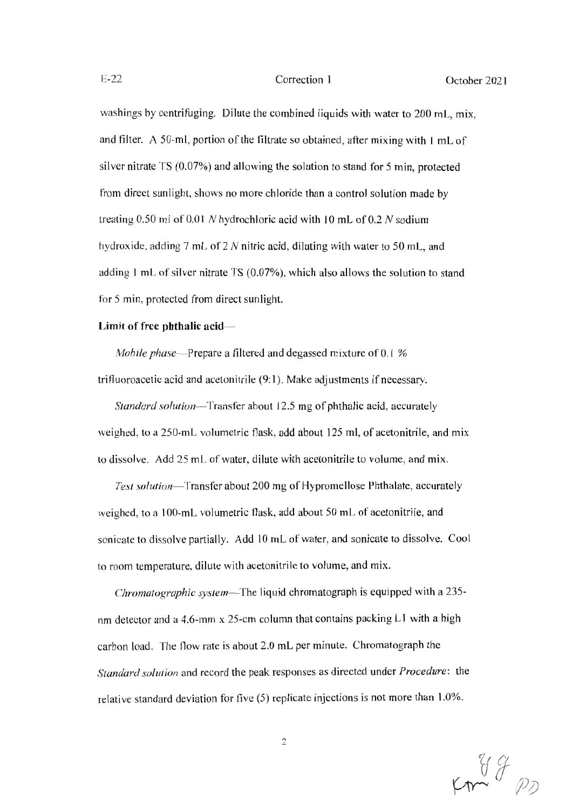#### Correction 1

washings by centrifuging. Dilute the combined liquids with water to 200 mL, mix, and filter. A 50-ml, portion of the filtrate so obtained, after mixing with 1 mL of silver nitrate TS (0.07%) and allowing the solution to stand for 5 min, protected from direct sunlight, shows no more chloride than a control solution made by treating 0.50 ml of 0.01 N hydrochloric acid with 10 mL of 0.2 N sodium hydroxide, adding 7 mL of 2 N nitric acid, diluting with water to 50 mL, and adding 1 mL of silver nitrate TS (0.07%), which also allows the solution to stand for 5 min, protected from direct sunlight.

#### Limit of free phthalic acid-

*Mobile phase*—Prepare a filtered and degassed mixture of 0.1 %

trifluoroacetic acid and acetonitrile (9:1). Make adjustments if necessary.

Standard solution—Transfer about 12.5 mg of phthalic acid, accurately weighed, to a 250-mL volumetric flask, add about 125 ml, of acetonitrile, and mix to dissolve. Add 25 mL of water, dilute with acetonitrile to volume, and mix.

Test solution-Transfer about 200 mg of Hypromellose Phthalate, accurately weighed, to a 100-mL volumetric flask, add about 50 mL of acetonitrile, and sonicate to dissolve partially. Add 10 mL of water, and sonicate to dissolve. Cool to room temperature, dilute with acetonitrile to volume, and mix.

Chromatographic system-The liquid chromatograph is equipped with a 235nm detector and a 4.6-mm x 25-cm column that contains packing L1 with a high carbon load. The flow rate is about 2.0 mL per minute. Chromatograph the Standard solution and record the peak responses as directed under Procedure: the relative standard deviation for five (5) replicate injections is not more than 1.0%.

 $\overline{2}$ 

 $cm^{44}$